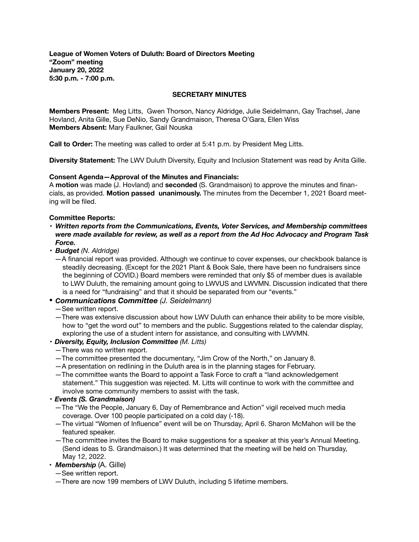**League of Women Voters of Duluth: Board of Directors Meeting "Zoom" meeting January 20, 2022 5:30 p.m. - 7:00 p.m.** 

#### **SECRETARY MINUTES**

**Members Present:** Meg Litts, Gwen Thorson, Nancy Aldridge, Julie Seidelmann, Gay Trachsel, Jane Hovland, Anita Gille, Sue DeNio, Sandy Grandmaison, Theresa O'Gara, Ellen Wiss **Members Absent:** Mary Faulkner, Gail Nouska

**Call to Order:** The meeting was called to order at 5:41 p.m. by President Meg Litts.

**Diversity Statement:** The LWV Duluth Diversity, Equity and Inclusion Statement was read by Anita Gille.

### **Consent Agenda—Approval of the Minutes and Financials:**

A **motion** was made (J. Hovland) and **seconded** (S. Grandmaison) to approve the minutes and financials, as provided. **Motion passed unanimously.** The minutes from the December 1, 2021 Board meeting will be filed.

### **Committee Reports:**

- *• Written reports from the Communications, Events, Voter Services, and Membership committees were made available for review, as well as a report from the Ad Hoc Advocacy and Program Task Force.*
- *• Budget (N. Aldridge)* 
	- *—*A financial report was provided. Although we continue to cover expenses, our checkbook balance is steadily decreasing. (Except for the 2021 Plant & Book Sale, there have been no fundraisers since the beginning of COVID.) Board members were reminded that only \$5 of member dues is available to LWV Duluth, the remaining amount going to LWVUS and LWVMN. Discussion indicated that there is a need for "fundraising" and that it should be separated from our "events."

## *• Communications Committee (J. Seidelmann)*

- *—*See written report.
- —There was extensive discussion about how LWV Duluth can enhance their ability to be more visible, how to "get the word out" to members and the public. Suggestions related to the calendar display, exploring the use of a student intern for assistance, and consulting with LWVMN.
- *• Diversity, Equity, Inclusion Committee (M. Litts)* 
	- *—*There was no written report.
	- —The committee presented the documentary, "Jim Crow of the North," on January 8.
	- —A presentation on redlining in the Duluth area is in the planning stages for February.
	- —The committee wants the Board to appoint a Task Force to craft a "land acknowledgement statement." This suggestion was rejected. M. Litts will continue to work with the committee and involve some community members to assist with the task.
- *• Events (S. Grandmaison)* 
	- *—*The "We the People, January 6, Day of Remembrance and Action" vigil received much media coverage. Over 100 people participated on a cold day (-18).
	- *—*The virtual "Women of Influence" event will be on Thursday, April 6. Sharon McMahon will be the featured speaker.
	- —The committee invites the Board to make suggestions for a speaker at this year's Annual Meeting. (Send ideas to S. Grandmaison.) It was determined that the meeting will be held on Thursday, May 12, 2022.
- *Membership* (A. Gille)
	- *—*See written report.
	- *—*There are now 199 members of LWV Duluth, including 5 lifetime members.